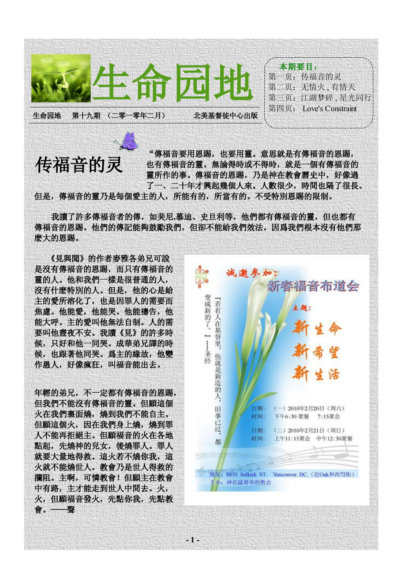

"傳福音要用恩賜,也要用靈。意思就是有傳福音的恩賜, 也有傳福音的靈。無論得時或不得時,就是一個有傳福音的 靈所作的事。傳福音的恩賜,乃是神在教會曆史中,好像過 了一、二十年才興起幾個人來。人數很少,時間也隔了很長。 但是,傳福音的靈乃是每個愛主的人,所能有的,所當有的。不受特別恩賜的限制。 传福音的灵

我讀了許多傳福音者的傳,如奜尼**,**慕迪、史旦利等,他們都有傳福音的靈,但也都有 傳福音的恩賜。他們的傳記能夠鼓勵我們,但卻不能給我們效法。因爲我們根本沒有他們那 麽大的恩賜。

**- 1 -**

 《見與聞》的作者麥雅各弟兄可說 是沒有傳福音的恩賜,而只有傳福音的 靈的人。他和我們一樣是很普通的人, 沒有什麽特別的人。但是,他的心是給 主的愛所溶化了,也是因罪人的需要而 焦慮。他能愛,他能哭。他能禱告,他 能大呼。主的愛叫他無法自制。人的需 要叫他晝夜不安。我讀《見》的許多時 候,只好和他一同哭。成華弟兄譯的時 候,也跟著他同哭。爲主的緣故,他變 作愚人,好像瘋狂,叫福音能出去。

年輕的弟兄,不一定都有傳福音的恩賜, 但我們不能沒有傳福音的靈。但願這個 火在我們裏面燒,燒到我們不能自主。 但願這個火,因在我們身上燒,燒到罪 人不能再拒絕主。但願福音的火在各地 點起,先燒神的兒女,後燒罪人。罪人 就要大量地得救。這火若不燒你我,這 火就不能燒世人。教會乃是世人得救的 攔阻。主啊,可憐教會!但願主在教會 中有路,主才能走到世人中間去。火, 火,但願福音發火,先點你我,先點教 會。——聲

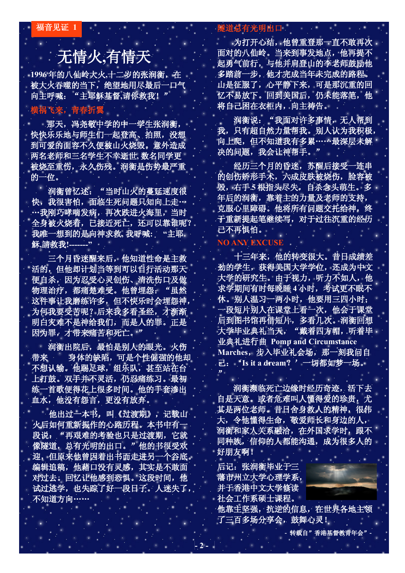福音见证 **1**

## 无情火**,**有情天

1996年的八仙岭大火,十二岁的张润衡,在 被大火吞噬的当下,绝望地用尽最后一口气 向主呼喊:"主耶穌基督**,**请你救我!"

### 横祸飞来,青春折翼

 那天,冯尧敬中学的中一学生张润衡, 快快乐乐地与师生们一起登高、拍照,没想 到可爱的面容不久便被山火烧毁。意外造成 两名老师和三名学生不幸逝世**,** 数名同学更 被烧至重伤,永久伤残。润衡是伤势最严重 的一位。

润衡曾忆述:"当时山火的蔓延速度很 快,我很害怕,面临生死问题只知向上走… …我刚巧哮喘发病,再次跌进火海里,当时 全身被火烧着,已接近死亡,还可以靠谁呢? 我唯一想到的是向神求救**,** 我呼喊**: "**主耶 穌**,**請救我**!-------"** 

 三个月昏迷醒来后,他知道性命是主救 活的,但他却计划当等到可以自行活动那天 便自杀,因为忍受心灵创伤、清洗伤口及做 物理治疗,都痛楚难受。他曾埋怨:"虽然 这件事让我磨练许多,但不快乐时会埋怨神, 为何我要受苦呢?后来我多看圣经,才渐渐 明白灾难不是神给我们,而是人的罪。正是 因为罪,才带来痛苦和死亡。"

 润衡出院后,最怕是别人的眼光。火伤 带来 身体的缺陷,可是个性倔强的他却 不想认输。他踢足球,组乐队,甚至站在台 上打鼓。双手并不灵活,仍忍痛练习。最初 练一首歌便得花上很多时间。他的手套渗出 血水,他没有怨言,更没有放弃。

 他出过一本书,叫《过渡期》,记载山 火后如何重新振作的心路历程。本书中有一 段说:"再艰难的考验也只是过渡期,它就 像隧道,总有光明的出口。"他的书很受欢 迎,但原来他曾因着出书而走进另一个谷底。 编辑追稿,他藉口没有灵感,其实是不敢面 对过去。回忆让他感到恐惧。这段时间,他 试过逃学,也失踪了好一段日子。人迷失了, 不知道方向……

#### 隧道总有光明出口

 为打开心结,他曾重登那一直不敢再次 面对的八仙岭。当来到事发地点,他再提不 起勇气前行,与他并肩登山的李老师鼓励他 多踏前一步,他才完成当年未完成的路程。 山是征服了,心平静下来,可是那沉重的回 忆不易放下。回到美国后,仍未能落笔,他 将自己困在衣柜内,向主祷告。

 润衡说:"我面对许多事情,无人帮到 我,只有超自然力量帮我。别人认为我积极, 向上爬,但不知道我有多累……最深层未解 决的问题,我会让神帮手。"

经历三个月的昏迷,苏醒后接受一连串 的创伤矫形手术,六成皮肤被烧伤,脸容被 毁,右手 **5** 根指头尽失,自杀念头萌生。多 年后的润衡,靠着主的力量及老师的支持, 克服心里障碍。他将所有问题交托给神,终 于重新提起笔继续写,对于过往沉重的经历 已不再惧怕。

#### **NO ANY EXCUSE**

 十三年来,他的转变很大。昔日成绩差 劲的学生,获得美国大学学位,还成为中文 大学的研究生。由于视力,听力不如人,他 求学期间有时每晚睡 **4** 小时,考试更不眠不 休。别人温习一两小时,他要用三四小时; 一段短片别人在课堂上看一次,他会于课堂 后到图书馆再借短片,多看几次。润衡回想 大学毕业典礼当天, "戴着四方帽, 听着毕 业典礼进行曲 **Pomp and Circumstance Marches**,步入毕业礼会场,那一刻我问自 己:'**Is it a dream**?'一切都如梦一场。  $\cdot$ 

 润衡濒临死亡边缘时经历奇迹,活下去 自是天意。或者危难叫人懂得爱的珍贵,尤 其是两位老师。昔日舍身救人的精神,很伟 大,令他懂得生命,敬爱师长和身边的人, 润衡和家人关系融洽,在外国求学时,跟不 同种族,信仰的人都能沟通,成为很多人的 好朋友啊!

后记:张润衡毕业于三 藩市州立大学心理学系, 并于香港中文大学修读 社会工作系硕士课程。

**- 2 -**

他靠主坚强,抗逆的信息,在世界各地主领 了三百多场分享会,鼓舞心灵!

**-** 转载自"香港基督教青年会"**-**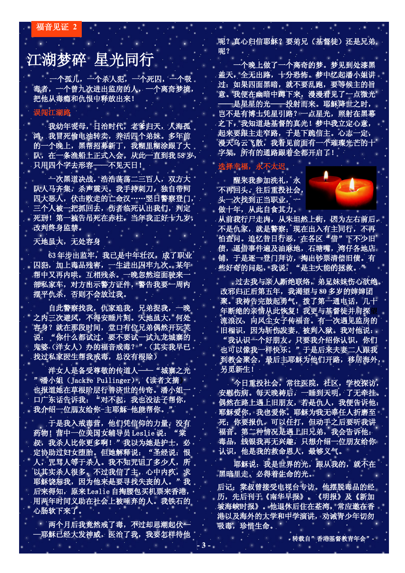– 福音见证 **2**

## 江湖梦碎 星光同行

 一个孤儿,一个杀人犯,一个死囚,一个吸 毒者,一个曾九次进出监房的人,一个离奇梦境, 把他从毒瘾和仇恨中释放出来!

### 误闯江湖路

 我幼年丧母,日治时代,老爹归天,人海孤 鸿,我冒死偷电油转卖,养活四个弟妹。多年前 的一个晚上,黑帮招募新丁,我糊里糊涂跟了大 队,在一条渔船上正式入会。从此一直到我 58岁, 只用四个字去形容——不见天日!

 一次黑道决战,浩浩荡荡二三百人,双方大 队人马齐集,杀声震天。我手持刺刀,独自带同 四大恶人,伏击败走的亡命汉……翌日警察登门, 三个人被一把抓回去,伤者临死认出我们,判定 死刑!第一被告吊死在赤柱,当年我正好十九岁, 改判终身监禁。

天地虽大,无处容身

63年步出监牢,我已是中年壮汉,成了职业 囚犯,加上毒品残害,一生进出囚牢九次。某年 帮中又再内哄,互相残杀。一晚忽然迎面驶来一 部私家车,对方出示警方证件, 警告我要一周内 摆平仇杀,否则不会放过我。

 自此警察找我,仇家追我,兄弟捉我,一晚 之内三次避风,不得安睡片刻。天地虽大,何处 容身?就在那段时间,堂口有位兄弟偶然开玩笑 说: "你什么都试过,要不要试一试九龙城寨的 鬼婆(洋女人)办的福音戒毒?"(其实我早已 找过私家医生帮我戒毒,总没有根除)

洋女人是备受尊敬的传道人——"城寨之光 "潘小姐(Jackie Pullinger),《读者文摘》 也报道她在草根阶层行善济世的传奇。潘小姐-口广东话告诉我:"对不起,我也没法子帮你, 我介绍一位朋友给你-主耶穌-他能帮你。

 于是我入戒毒营,他们凭信仰的力量,没有 药物!营中一位美国女辅导员 Leslie 说: "棠 叔,我杀人比你更多啊!"我以为她是护士,必 定协助过妇女堕胎。但她解释说: "圣经说:恨 人,咒骂人等于杀人。我不知咒诅了多少人,所 以其实杀人很多。不过我信了主,心中内疚,求 耶穌饶恕我,因为他来是要寻找失丧的人。"我 后来得知,原来 Leslie 自掏腰包买机票来香港, 用两年时间义助在社会上被唾弃的人。我铁石的 心肠软下来了。

开两个月后我竟然戒了毒,不过却思潮起伏一 —耶穌已经大发神威,医治了我,我要怎样待他

**- 3 -**

呢?真心归信耶穌?要弟兄(基督徒)还是兄弟. 呢?

the state of the control of the

 一个晚上做了一个离奇的梦。梦见到处漆黑 盖天,全无出路,十分恐怖。梦中忆起潘小姐讲 过:如果四面黑暗,就不要乱跑,要等候主的旨 意。我便在幽暗中蹲下来,漫漫看见了一点微光 -是星星的光——投射而来。耶穌降世之时, 岂不是有博士凭星引路?一点星光,照射在黑幕 之下,我知道是基督的真光!梦中我立定心意, 起来要跟主走窄路,于是下跪信主。心志一定, 漫天乌云飞散,我看见前面有一个璀璨光芒的十 字架,所有的通路跟着全都开启了!

醒来我参加洗礼,永 不再回头。往后重投社会, 头一次找到正当职业,一 做十年, 从此自食其力。

选择幸福,永不太迟



从前我行尸走肉,从未坦然上街,因为左右前后, 不是仇家,就是警察;现在出入有主同行,不再 怕查问。追忆昔日行恶,在各区"借"下不少旧 债,逼借事件遍及油麻地,石塘嘴, 湾仔各地店 铺,于是逐一登门拜访,掏出钞票清偿旧债。有 些好奇的问起,我说:"是主大能的拯救。"

 过去我与亲人断绝联络,弟兄妹妹伤心欲绝。 改邪归正后第五年,我渴望与 **80** 多岁的婶婶团 聚。我祷告完鼓起勇气,拨了第一通电话,几十 年断绝的亲情从此恢复!我更与基督徒并肩探 流浪汉,向风尘女子传福音。有一次遇见监房的 旧相识,因为斩伤发妻,被判入狱。我对他说: "我认识一个好朋友。只要我介绍你认识,你们 也可以像我一样快乐。"于是后来夫妻二人跟我 到教会聚会,最后主耶穌为他们开路,移居海外, 另觅新生!

 今日重投社会,常往医院,社区,学校探访, 安慰伤病。每天晚祷后,一睡到天明,了无牵挂。 偶然在路上遇上旧朋友,若是仇人,我便告诉他: 耶穌爱你,我也爱你。耶穌为我无辜任人折磨至 死;你要报仇,可以任打,但动手之后要听我讲 福音。第二种情况是遇上旧兄弟,我会告诉他: 毒品,钱银我再无兴趣,只想介绍一位朋友给你 认识,他是我的救命恩人,最够义气。

耶穌说:我是世界的光,跟从我的,就不在 黑暗里走,必得着生命的光。

后记:棠叔曾接受电视台专访。他摆脱毒品的经 历,先后刊于《南华早报》,《明报》及《新加 坡海峡时报》。他退休后住在荃湾,常应邀在香 港以及海外的大学和中学演讲,劝诫青少年切勿 吸毒,珍惜生命。